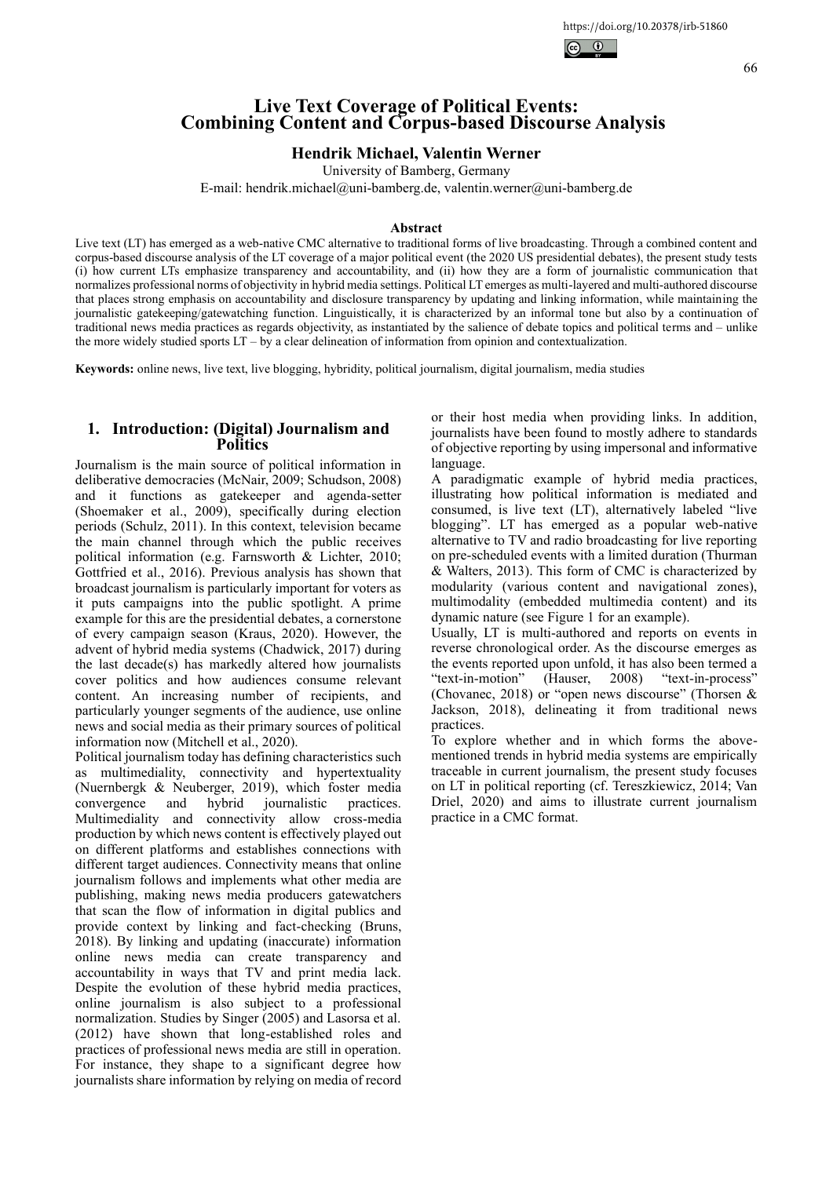

66

# **Live Text Coverage of Political Events: Combining Content and Corpus-based Discourse Analysis**

## **Hendrik Michael, Valentin Werner**

University of Bamberg, Germany

E-mail: hendrik.michael@uni-bamberg.de, valentin.werner@uni-bamberg.de

### **Abstract**

Live text (LT) has emerged as a web-native CMC alternative to traditional forms of live broadcasting. Through a combined content and corpus-based discourse analysis of the LT coverage of a major political event (the 2020 US presidential debates), the present study tests (i) how current LTs emphasize transparency and accountability, and (ii) how they are a form of journalistic communication that normalizes professional norms of objectivity in hybrid media settings. Political LT emerges as multi-layered and multi-authored discourse that places strong emphasis on accountability and disclosure transparency by updating and linking information, while maintaining the journalistic gatekeeping/gatewatching function. Linguistically, it is characterized by an informal tone but also by a continuation of traditional news media practices as regards objectivity, as instantiated by the salience of debate topics and political terms and – unlike the more widely studied sports LT – by a clear delineation of information from opinion and contextualization.

**Keywords:** online news, live text, live blogging, hybridity, political journalism, digital journalism, media studies

## **1. Introduction: (Digital) Journalism and Politics**

Journalism is the main source of political information in deliberative democracies (McNair, 2009; Schudson, 2008) and it functions as gatekeeper and agenda-setter (Shoemaker et al., 2009), specifically during election periods (Schulz, 2011). In this context, television became the main channel through which the public receives political information (e.g. Farnsworth & Lichter, 2010; Gottfried et al., 2016). Previous analysis has shown that broadcast journalism is particularly important for voters as it puts campaigns into the public spotlight. A prime example for this are the presidential debates, a cornerstone of every campaign season (Kraus, 2020). However, the advent of hybrid media systems (Chadwick, 2017) during the last decade(s) has markedly altered how journalists cover politics and how audiences consume relevant content. An increasing number of recipients, and particularly younger segments of the audience, use online news and social media as their primary sources of political information now (Mitchell et al., 2020).

Political journalism today has defining characteristics such as multimediality, connectivity and hypertextuality (Nuernbergk & Neuberger, 2019), which foster media convergence and hybrid journalistic practices. Multimediality and connectivity allow cross-media production by which news content is effectively played out on different platforms and establishes connections with different target audiences. Connectivity means that online journalism follows and implements what other media are publishing, making news media producers gatewatchers that scan the flow of information in digital publics and provide context by linking and fact-checking (Bruns, 2018). By linking and updating (inaccurate) information online news media can create transparency and accountability in ways that TV and print media lack. Despite the evolution of these hybrid media practices, online journalism is also subject to a professional normalization. Studies by Singer (2005) and Lasorsa et al. (2012) have shown that long-established roles and practices of professional news media are still in operation. For instance, they shape to a significant degree how journalists share information by relying on media of record

or their host media when providing links. In addition, journalists have been found to mostly adhere to standards of objective reporting by using impersonal and informative language.

A paradigmatic example of hybrid media practices, illustrating how political information is mediated and consumed, is live text (LT), alternatively labeled "live blogging". LT has emerged as a popular web-native alternative to TV and radio broadcasting for live reporting on pre-scheduled events with a limited duration (Thurman & Walters, 2013). This form of CMC is characterized by modularity (various content and navigational zones), multimodality (embedded multimedia content) and its dynamic nature (see Figure 1 for an example).

Usually, LT is multi-authored and reports on events in reverse chronological order. As the discourse emerges as the events reported upon unfold, it has also been termed a "text-in-motion" (Hauser, 2008) "text-in-process" "text-in-motion" (Hauser, 2008) "text-in-process" (Chovanec, 2018) or "open news discourse" (Thorsen & Jackson, 2018), delineating it from traditional news practices.

To explore whether and in which forms the abovementioned trends in hybrid media systems are empirically traceable in current journalism, the present study focuses on LT in political reporting (cf. Tereszkiewicz, 2014; Van Driel, 2020) and aims to illustrate current journalism practice in a CMC format.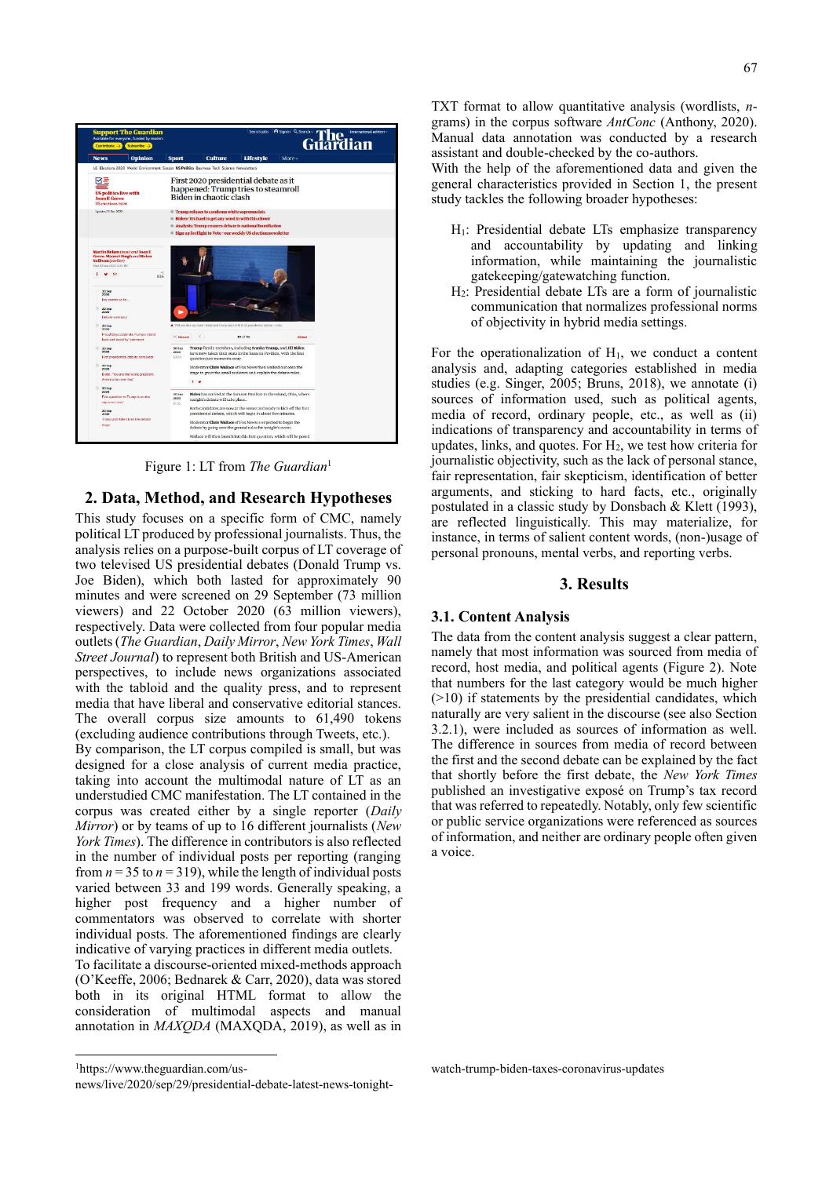

Figure 1: LT from *The Guardian*<sup>1</sup>

### **2. Data, Method, and Research Hypotheses**

This study focuses on a specific form of CMC, namely political LT produced by professional journalists. Thus, the analysis relies on a purpose-built corpus of LT coverage of two televised US presidential debates (Donald Trump vs. Joe Biden), which both lasted for approximately 90 minutes and were screened on 29 September (73 million viewers) and 22 October 2020 (63 million viewers), respectively. Data were collected from four popular media outlets (*The Guardian*, *Daily Mirror*, *New York Times*, *Wall Street Journal*) to represent both British and US-American perspectives, to include news organizations associated with the tabloid and the quality press, and to represent media that have liberal and conservative editorial stances. The overall corpus size amounts to 61,490 tokens (excluding audience contributions through Tweets, etc.).

By comparison, the LT corpus compiled is small, but was designed for a close analysis of current media practice, taking into account the multimodal nature of LT as an understudied CMC manifestation. The LT contained in the corpus was created either by a single reporter (*Daily Mirror*) or by teams of up to 16 different journalists (*New York Times*). The difference in contributors is also reflected in the number of individual posts per reporting (ranging from  $n = 35$  to  $n = 319$ ), while the length of individual posts varied between 33 and 199 words. Generally speaking, a higher post frequency and a higher number of commentators was observed to correlate with shorter individual posts. The aforementioned findings are clearly indicative of varying practices in different media outlets.

To facilitate a discourse-oriented mixed-methods approach (O'Keeffe, 2006; Bednarek & Carr, 2020), data was stored both in its original HTML format to allow the consideration of multimodal aspects and manual annotation in *MAXQDA* (MAXQDA, 2019), as well as in

1https://www.theguardian.com/us-

TXT format to allow quantitative analysis (wordlists, *n*grams) in the corpus software *AntConc* (Anthony, 2020). Manual data annotation was conducted by a research assistant and double-checked by the co-authors.

With the help of the aforementioned data and given the general characteristics provided in Section 1, the present study tackles the following broader hypotheses:

- H1: Presidential debate LTs emphasize transparency and accountability by updating and linking information, while maintaining the journalistic gatekeeping/gatewatching function.
- H2: Presidential debate LTs are a form of journalistic communication that normalizes professional norms of objectivity in hybrid media settings.

For the operationalization of  $H_1$ , we conduct a content analysis and, adapting categories established in media studies (e.g. Singer, 2005; Bruns, 2018), we annotate (i) sources of information used, such as political agents, media of record, ordinary people, etc., as well as (ii) indications of transparency and accountability in terms of updates, links, and quotes. For  $H_2$ , we test how criteria for journalistic objectivity, such as the lack of personal stance, fair representation, fair skepticism, identification of better arguments, and sticking to hard facts, etc., originally postulated in a classic study by Donsbach & Klett (1993), are reflected linguistically. This may materialize, for instance, in terms of salient content words, (non-)usage of personal pronouns, mental verbs, and reporting verbs.

#### **3. Results**

#### **3.1. Content Analysis**

The data from the content analysis suggest a clear pattern, namely that most information was sourced from media of record, host media, and political agents (Figure 2). Note that numbers for the last category would be much higher (>10) if statements by the presidential candidates, which naturally are very salient in the discourse (see also Section 3.2.1), were included as sources of information as well. The difference in sources from media of record between the first and the second debate can be explained by the fact that shortly before the first debate, the *New York Times* published an investigative exposé on Trump's tax record that was referred to repeatedly. Notably, only few scientific or public service organizations were referenced as sources of information, and neither are ordinary people often given a voice.

watch-trump-biden-taxes-coronavirus-updates

news/live/2020/sep/29/presidential-debate-latest-news-tonight-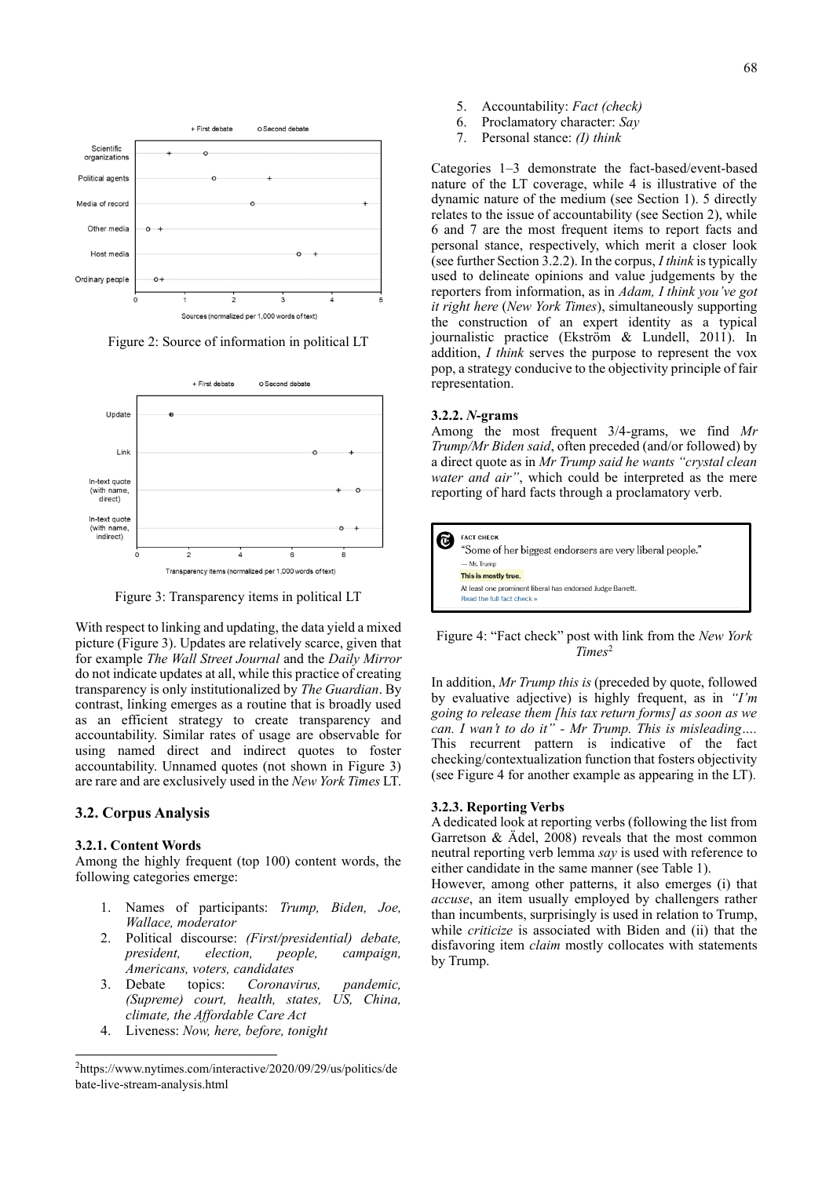

Figure 2: Source of information in political LT



Figure 3: Transparency items in political LT

With respect to linking and updating, the data yield a mixed picture (Figure 3). Updates are relatively scarce, given that for example *The Wall Street Journal* and the *Daily Mirror* do not indicate updates at all, while this practice of creating transparency is only institutionalized by *The Guardian*. By contrast, linking emerges as a routine that is broadly used as an efficient strategy to create transparency and accountability. Similar rates of usage are observable for using named direct and indirect quotes to foster accountability. Unnamed quotes (not shown in Figure 3) are rare and are exclusively used in the *New York Times* LT.

#### **3.2. Corpus Analysis**

#### **3.2.1. Content Words**

Among the highly frequent (top 100) content words, the following categories emerge:

- 1. Names of participants: *Trump, Biden, Joe, Wallace, moderator*
- 2. Political discourse: *(First/presidential) debate, president, election, people, campaign, Americans, voters, candidates*
- 3. Debate topics: *Coronavirus, pandemic, (Supreme) court, health, states, US, China, climate, the Affordable Care Act*
- 4. Liveness: *Now, here, before, tonight*
- 5. Accountability: *Fact (check)*
- 6. Proclamatory character: *Say*
- 7. Personal stance: *(I) think*

Categories 1–3 demonstrate the fact-based/event-based nature of the LT coverage, while 4 is illustrative of the dynamic nature of the medium (see Section 1). 5 directly relates to the issue of accountability (see Section 2), while 6 and 7 are the most frequent items to report facts and personal stance, respectively, which merit a closer look (see further Section 3.2.2). In the corpus, *I think* is typically used to delineate opinions and value judgements by the reporters from information, as in *Adam, I think you've got it right here* (*New York Times*), simultaneously supporting the construction of an expert identity as a typical journalistic practice (Ekström & Lundell, 2011). In addition, *I think* serves the purpose to represent the vox pop, a strategy conducive to the objectivity principle of fair representation.

#### **3.2.2.** *N***-grams**

Among the most frequent 3/4-grams, we find *Mr Trump/Mr Biden said*, often preceded (and/or followed) by a direct quote as in *Mr Trump said he wants "crystal clean water and air"*, which could be interpreted as the mere reporting of hard facts through a proclamatory verb.



#### Figure 4: "Fact check" post with link from the *New York Times*<sup>2</sup>

In addition, *Mr Trump this is* (preceded by quote, followed by evaluative adjective) is highly frequent, as in *"I'm going to release them [his tax return forms] as soon as we can. I wan't to do it" - Mr Trump. This is misleading….*  This recurrent pattern is indicative of the fact checking/contextualization function that fosters objectivity (see Figure 4 for another example as appearing in the LT)*.*

#### **3.2.3. Reporting Verbs**

A dedicated look at reporting verbs (following the list from Garretson & Ädel, 2008) reveals that the most common neutral reporting verb lemma *say* is used with reference to either candidate in the same manner (see Table 1).

However, among other patterns, it also emerges (i) that *accuse*, an item usually employed by challengers rather than incumbents, surprisingly is used in relation to Trump, while *criticize* is associated with Biden and (ii) that the disfavoring item *claim* mostly collocates with statements by Trump.

<sup>2</sup> https://www.nytimes.com/interactive/2020/09/29/us/politics/de bate-live-stream-analysis.html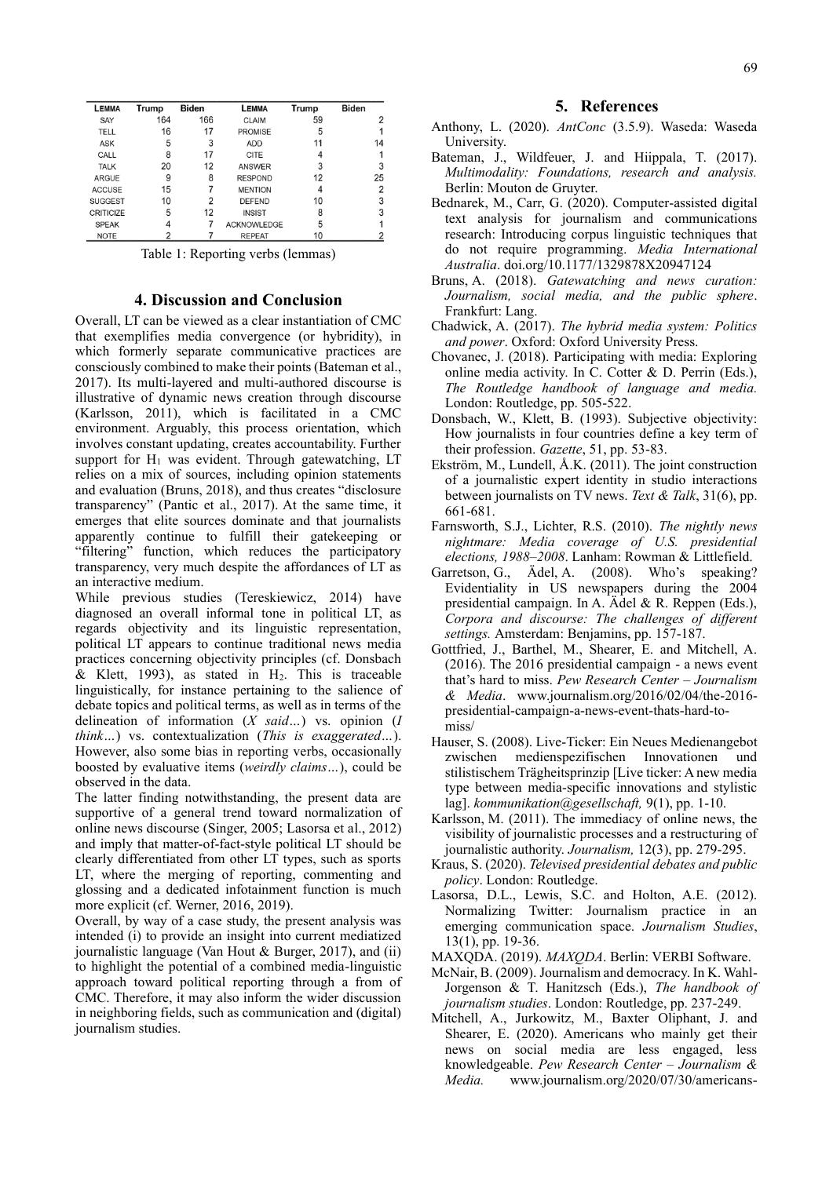| <b>LEMMA</b>     | Trump | <b>Biden</b> | <b>LEMMA</b>       | Trump | <b>Biden</b>   |
|------------------|-------|--------------|--------------------|-------|----------------|
| SAY              | 164   | 166          | CLAIM              | 59    | 2              |
| TELL             | 16    | 17           | <b>PROMISE</b>     | 5     |                |
| <b>ASK</b>       | 5     | 3            | <b>ADD</b>         | 11    | 14             |
| CALL             | 8     | 17           | CITE               |       |                |
| <b>TALK</b>      | 20    | 12           | ANSWER             | 3     | 3              |
| <b>ARGUE</b>     | 9     | 8            | <b>RESPOND</b>     | 12    | 25             |
| <b>ACCUSE</b>    | 15    | 7            | <b>MENTION</b>     | 4     | $\overline{2}$ |
| <b>SUGGEST</b>   | 10    | 2            | <b>DEFEND</b>      | 10    | 3              |
| <b>CRITICIZE</b> | 5     | 12           | <b>INSIST</b>      | 8     | 3              |
| <b>SPEAK</b>     | 4     |              | <b>ACKNOWLEDGE</b> | 5     |                |
| <b>NOTE</b>      | 2     |              | <b>REPEAT</b>      | 10    |                |

Table 1: Reporting verbs (lemmas)

### **4. Discussion and Conclusion**

Overall, LT can be viewed as a clear instantiation of CMC that exemplifies media convergence (or hybridity), in which formerly separate communicative practices are consciously combined to make their points (Bateman et al., 2017). Its multi-layered and multi-authored discourse is illustrative of dynamic news creation through discourse (Karlsson, 2011), which is facilitated in a CMC environment. Arguably, this process orientation, which involves constant updating, creates accountability. Further support for  $H_1$  was evident. Through gatewatching, LT relies on a mix of sources, including opinion statements and evaluation (Bruns, 2018), and thus creates "disclosure transparency" (Pantic et al., 2017). At the same time, it emerges that elite sources dominate and that journalists apparently continue to fulfill their gatekeeping or "filtering" function, which reduces the participatory transparency, very much despite the affordances of LT as an interactive medium.

While previous studies (Tereskiewicz, 2014) have diagnosed an overall informal tone in political LT, as regards objectivity and its linguistic representation, political LT appears to continue traditional news media practices concerning objectivity principles (cf. Donsbach & Klett, 1993), as stated in  $H_2$ . This is traceable linguistically, for instance pertaining to the salience of debate topics and political terms, as well as in terms of the delineation of information (*X said…*) vs. opinion (*I think…*) vs. contextualization (*This is exaggerated…*). However, also some bias in reporting verbs, occasionally boosted by evaluative items (*weirdly claims…*), could be observed in the data.

The latter finding notwithstanding, the present data are supportive of a general trend toward normalization of online news discourse (Singer, 2005; Lasorsa et al., 2012) and imply that matter-of-fact-style political LT should be clearly differentiated from other LT types, such as sports LT, where the merging of reporting, commenting and glossing and a dedicated infotainment function is much more explicit (cf. Werner, 2016, 2019).

Overall, by way of a case study, the present analysis was intended (i) to provide an insight into current mediatized journalistic language (Van Hout & Burger, 2017), and (ii) to highlight the potential of a combined media-linguistic approach toward political reporting through a from of CMC. Therefore, it may also inform the wider discussion in neighboring fields, such as communication and (digital) journalism studies.

- Anthony, L. (2020). *AntConc* (3.5.9). Waseda: Waseda University.
- Bateman, J., Wildfeuer, J. and Hiippala, T. (2017). *Multimodality: Foundations, research and analysis.* Berlin: Mouton de Gruyter.
- Bednarek, M., Carr, G. (2020). Computer-assisted digital text analysis for journalism and communications research: Introducing corpus linguistic techniques that do not require programming. *Media International Australia*. doi.org/10.1177/1329878X20947124
- Bruns, A. (2018). *Gatewatching and news curation: Journalism, social media, and the public sphere*. Frankfurt: Lang.
- Chadwick, A. (2017). *The hybrid media system: Politics and power*. Oxford: Oxford University Press.
- Chovanec, J. (2018). Participating with media: Exploring online media activity. In C. Cotter & D. Perrin (Eds.), *The Routledge handbook of language and media.* London: Routledge, pp. 505-522.
- Donsbach, W., Klett, B. (1993). Subjective objectivity: How journalists in four countries define a key term of their profession. *Gazette*, 51, pp. 53-83.
- Ekström, M., Lundell, Å.K. (2011). The joint construction of a journalistic expert identity in studio interactions between journalists on TV news. *Text & Talk*, 31(6), pp. 661-681.
- Farnsworth, S.J., Lichter, R.S. (2010). *The nightly news nightmare: Media coverage of U.S. presidential elections, 1988–2008*. Lanham: Rowman & Littlefield.
- Garretson, G., Ädel, A. (2008). Who's speaking? Evidentiality in US newspapers during the 2004 presidential campaign. In A. Ädel & R. Reppen (Eds.), *Corpora and discourse: The challenges of different settings.* Amsterdam: Benjamins, pp. 157-187.
- Gottfried, J., Barthel, M., Shearer, E. and Mitchell, A. (2016). The 2016 presidential campaign - a news event that's hard to miss. *Pew Research Center – Journalism & Media*. www.journalism.org/2016/02/04/the-2016 presidential-campaign-a-news-event-thats-hard-tomiss/
- Hauser, S. (2008). Live-Ticker: Ein Neues Medienangebot zwischen medienspezifischen Innovationen und stilistischem Trägheitsprinzip [Live ticker: A new media type between media-specific innovations and stylistic lag]. *kommunikation@gesellschaft,* 9(1), pp. 1-10.
- Karlsson, M. (2011). The immediacy of online news, the visibility of journalistic processes and a restructuring of journalistic authority. *Journalism,* 12(3), pp. 279-295.
- Kraus, S. (2020). *Televised presidential debates and public policy*. London: Routledge.
- Lasorsa, D.L., Lewis, S.C. and Holton, A.E. (2012). Normalizing Twitter: Journalism practice in an emerging communication space. *Journalism Studies*, 13(1), pp. 19-36.
- MAXQDA. (2019). *MAXQDA*. Berlin: VERBI Software.
- McNair, B. (2009). Journalism and democracy. In K. Wahl-Jorgenson & T. Hanitzsch (Eds.), *The handbook of journalism studies*. London: Routledge, pp. 237-249.
- Mitchell, A., Jurkowitz, M., Baxter Oliphant, J. and Shearer, E. (2020). Americans who mainly get their news on social media are less engaged, less knowledgeable. *Pew Research Center – Journalism & Media.* www.journalism.org/2020/07/30/americans-